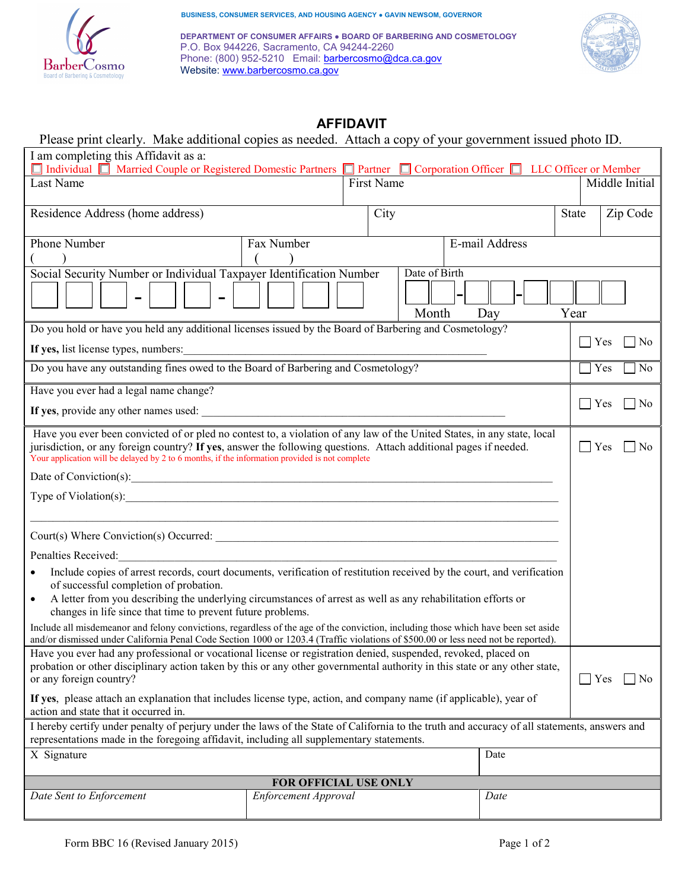

**BUSINESS, CONSUMER SERVICES, AND HOUSING AGENCY ● GAVIN NEWSOM, GOVERNOR** 

**DEPARTMENT OF CONSUMER AFFAIRS ● BOARD OF BARBERING AND COSMETOLOGY** P.O. Box 944226, Sacramento, CA 94244-2260 Phone: (800) 952-5210 Email: [barbercosmo@dca.ca.gov](mailto:barbercosmo@dca.ca.gov) Website: <u>[www.barbercosmo.ca.gov](http://www.barbercosmo.ca.gov)</u>



# **AFFIDAVIT**

## Please print clearly. Make additional copies as needed. Attach a copy of your government issued photo ID. I am completing this Affidavit as a: Individual Married Couple or Registered Domestic Partners **Partner Corporation Officer LLC Officer or Member** Last Name Middle Initial Residence Address (home address) City City State Zip Code Phone Number  $($  ) Fax Number  $\left($ E-mail Address Social Security Number or Individual Taxpayer Identification Number - - Date of Birth Month  $\begin{array}{c|c}\n\text{-}\quad & \text{Day}\n\end{array}$  $\Box$  Yes  $\Box$  No  $Yes \Box No$  $Yes \Box No$ Year Do you hold or have you held any additional licenses issued by the Board of Barbering and Cosmetology? **If yes,** list license types, numbers: Do you have any outstanding fines owed to the Board of Barbering and Cosmetology? Have you ever had a legal name change? **If yes**, provide any other names used:  $\Box$  Yes  $\Box$  No Have you ever been convicted of or pled no contest to, a violation of any law of the United States, in any state, local jurisdiction, or any foreign country? **If yes**, answer the following questions. Attach additional pages if needed. Your application will be delayed by 2 to 6 months, if the information provided is not complete Date of Conviction(s):\_\_\_\_\_\_\_\_\_\_\_\_\_\_\_\_\_\_\_\_\_\_\_\_\_\_\_\_\_\_\_\_\_\_\_\_\_\_\_\_\_\_\_\_\_\_\_\_\_\_\_\_\_\_\_\_\_\_\_\_\_\_\_\_\_\_\_\_\_\_\_\_\_\_\_ Type of Violation $(s)$ :  $\_$  ,  $\_$  ,  $\_$  ,  $\_$  ,  $\_$  ,  $\_$  ,  $\_$  ,  $\_$  ,  $\_$  ,  $\_$  ,  $\_$  ,  $\_$  ,  $\_$  ,  $\_$  ,  $\_$  ,  $\_$  ,  $\_$  ,  $\_$  ,  $\_$  ,  $\_$  ,  $\_$  ,  $\_$  ,  $\_$  ,  $\_$  ,  $\_$  ,  $\_$  ,  $\_$  ,  $\_$  ,  $\_$  ,  $\_$  ,  $\_$  ,  $\_$  ,  $\_$  ,  $\_$  ,  $\_$  ,  $\_$  ,  $\_$  ,  $\text{Country}(\text{S})$  Where Conviction(s) Occurred: Penalties Received: • Include copies of arrest records, court documents, verification of restitution received by the court, and verification of successful completion of probation. • A letter from you describing the underlying circumstances of arrest as well as any rehabilitation efforts or changes in life since that time to prevent future problems. Include all misdemeanor and felony convictions, regardless of the age of the conviction, including those which have been set aside and/or dismissed under California Penal Code Section 1000 or 1203.4 (Traffic violations of \$500.00 or less need not be reported). Have you ever had any professional or vocational license or registration denied, suspended, revoked, placed on probation or other disciplinary action taken by this or any other governmental authority in this state or any other state, or any foreign country? **If yes**, please attach an explanation that includes license type, action, and company name (if applicable), year of action and state that it occurred in. I hereby certify under penalty of perjury under the laws of the State of California to the truth and accuracy of all statements, answers and representations made in the foregoing affidavit, including all supplementary statements. X Signature Date  $\Box$ **FOR OFFICIAL USE ONLY**  *Date Sent to Enforcement Enforcement Approval Date*